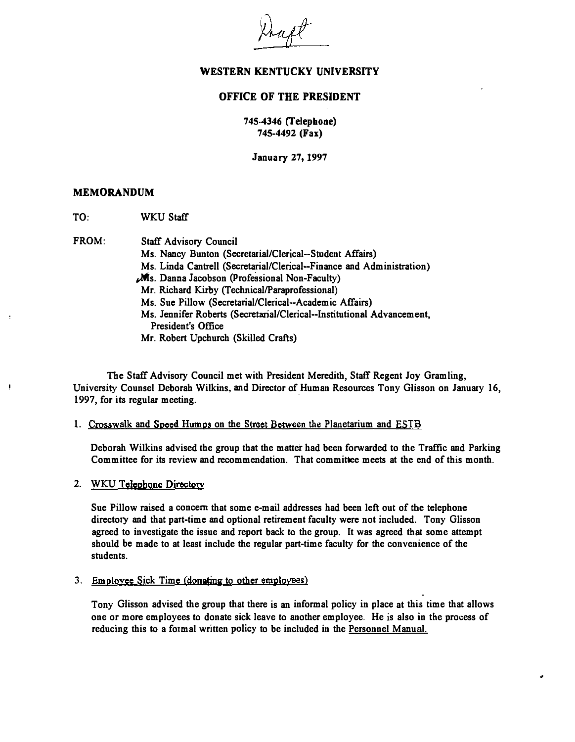

### OFFICE OF THE PRESIDENT

### 745-4346 (Telephone) 745-4492 (Fax)

January 27, 1997

#### MEMORANDUM

I

TO: WKU Staff

FROM: Staff Advisory Council

Ms. Nancy Bunton (Secretarial/Clerical--Student Affairs) Ms. Linda Cantrell (Secretarial/Clerical--Finance and Administration)  $M$ s. Danna Jacobson (Professional Non-Faculty) Mr. Richard Kirby (Technical/Paraprofessional) Ms. Sue Pillow (Secretarial/Clerical-Academic Affairs) Ms. Jennifer Roberts (SecretariallClerical--Institutionai Advancement, President's Office Mr. Robert Upchurch (Skilled Crafts)

The Staff Advisory Council met with President Meredith, Staff Regent Joy Gramling, University Counsel Deborah Wilkins, and Director of Human Resources Tony Glisson on January 16, 1997, for its regular meeting.

1. Crosswalk and Speed Humps on the Street Between the Planetarium and ESTB

Deborah Wilkins advised the group that the matter had been forwarded to the Traffic and Parking Committee for its review and recommendation. That committee meets at the end of this month.

2. WKU Telephone Directory

Sue Pillow raised a concern that some e-mail addresses had been left out of the telephone directory and that part-time and optional retirement faculty were not included. Tony Glisson agreed to investigate the issue and report back to the group. It was agreed that some attempt should be made to at least include the regular part-time faculty for the convenience of the students.

3. Employee Sick Time (donating to other employees)

Tony Glisson advised the group that there is an informal policy in place at this time that allows one or more employees to donate sick leave to another employee. He is also in the process of reducing this to a formal written policy to be included in the Personnel Manual.

•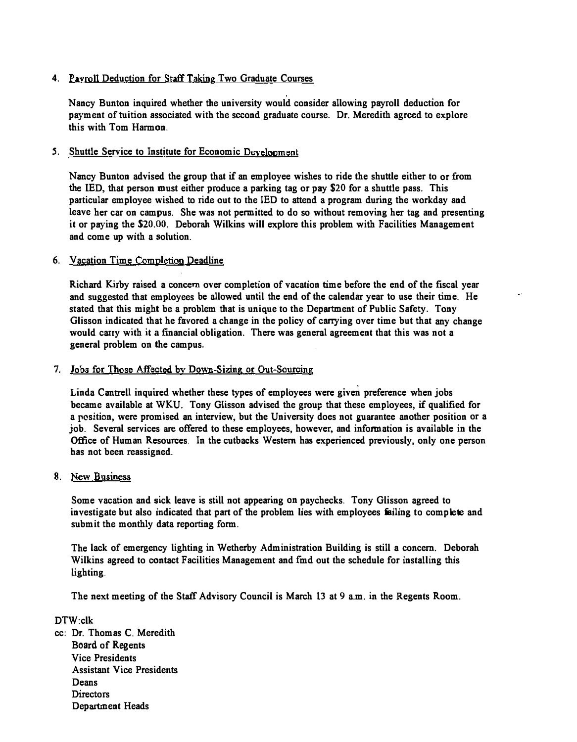## 4. Payroll Deduction for Staff Taking Two Graduate Courses

Nancy Bunton inquired whether the university would consider allowing payroll deduction for payment of tuition associated with the second graduate course. Dr. Meredith agreed to explore this with Tom Harmon.

### 5. Shuttle Service to Institute for Economic Development

Nancy Bunton advised the group that if an employee wishes to ride the shuttle either to or from the lED, that person must either produce a parking tag or pay \$20 for a shuttle pass. This particular employee wished to ride out to the lED to attend a program during the workday and leave her car on campus. She was not permitted to do so without removing her tag and presenting it or paying the \$20.00. Deborah Wilkins will explore this problem with Facilities Management and come up with a solution.

#### 6. Vacation Time Completion Deadline

Richard Kirby raised a concern over completion of vacation time before the end of the fiscal year and suggested that employees be allowed until the end of the calendar year to use their time. He stated that this might be a problem that is unique to the Department of Public Safety. Tony Glisson indicated that he favored a change in the policy of carrying over time but that any change would carry with it a financial obligation. There was general agreement that this was not a general problem on the campus.

#### 7. Jobs for Those Affected by Down-Sizing or Out-Sourcing

Linda Cantrell inquired whether these types of employees were given preference when jobs became available at WKU. Tony Glisson advised the group that these employees, if qualified for a position, were promised an interview, but the University does not guarantee another position or a job. Several services are offered to these employees, however, and information is available in the Office of Human Resources. In the cutbacks Western has experienced previously, only one person has not been reassigned.

### 8. New Business

Some vacation and sick leave is still not appearing on paychecks. Tony Glisson agreed to investigate but also indicated that part of the problem lies with employees failing to complete and submit the monthly data reporting form.

The lack of emergency lighting in Wetherby Administration Building is still a concern. Deborah Wilkins agreed to contact Facilities Management and fmd out the schedule for installing this lighting.

The next meeting of the Staff Advisory Council is March 13 at 9 a.m. in the Regents Room.

DTW:clk cc: Dr. Thomas C. Meredith Board of Regents Vice Presidents Assistant Vice Presidents Deans Directors Department Heads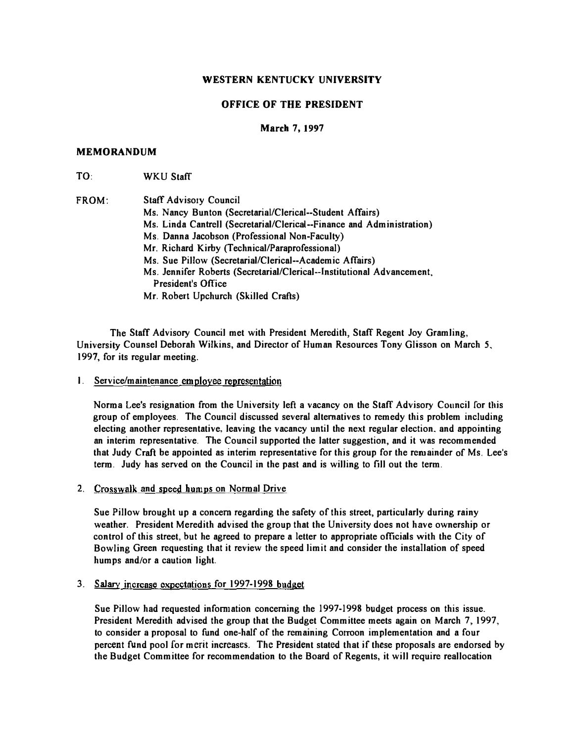### OFFICE OF THE PRESIDENT

#### March 7. 1997

#### MEMORANDUM

TO, WKU Staff

| <b>FROM:</b> | <b>Staff Advisory Council</b>                                          |
|--------------|------------------------------------------------------------------------|
|              | Ms. Nancy Bunton (Secretarial/Clerical--Student Affairs)               |
|              | Ms. Linda Cantrell (Secretarial/Clerical--Finance and Administration)  |
|              | Ms. Danna Jacobson (Professional Non-Faculty)                          |
|              | Mr. Richard Kirby (Technical/Paraprofessional)                         |
|              | Ms. Sue Pillow (Secretarial/Clerical--Academic Affairs)                |
|              | Ms. Jennifer Roberts (Secretarial/Clerical--Institutional Advancement, |
|              | President's Office                                                     |
|              | Mr. Robert Upchurch (Skilled Crafts)                                   |

The Staff Advisory Council met with President Meredith, Staff Regent Joy Gramling, University Counsel Deborah Wilkins, and Director of Human Resources Tony Glisson on March 5, 1997, for its regular meeting.

I. Service/maintenance employee representation

Norma Lee's resignation from the University left a vacancy on the Staff Advisory Council for this group of employees. The Council discussed several alternatives to remedy this problem including electing another representative, leaving the vacancy until the next regular election, and appointing an interim representative. The Council supported the latter suggestion, and it was recommended that Judy Craft be appointed as interim representative for this group for the remainder of Ms. Lee's term. Judy has served on the Council in the past and is willing to fill out the term.

2. Crosswalk and speed humps on Normal Drive

Sue Pillow brought up a concern regarding the safety of this street, particularly during rainy weather. President Meredith advised the group that the University does not have ownership or control of this street, but he agreed to prepare a letter to appropriate officials with the City of Bowling Green requesting that it review the speed limit and consider the installation of speed humps and/or a caution light.

3. Salary increase expectations for 1997-1998 budget

Sue Pillow had requested infomlation concerning the 1997-1998 budget process on this issue. President Meredith advised the group that the Budget Committee meets again on March 7, 1997, to consider a proposal to fund one-half of the remaining Corroon implementation and a four percent fund pool [or merit increases. The President stated that if these proposals are endorsed by the Budget Committee for recommendation to the Board of Regents, it will require reallocation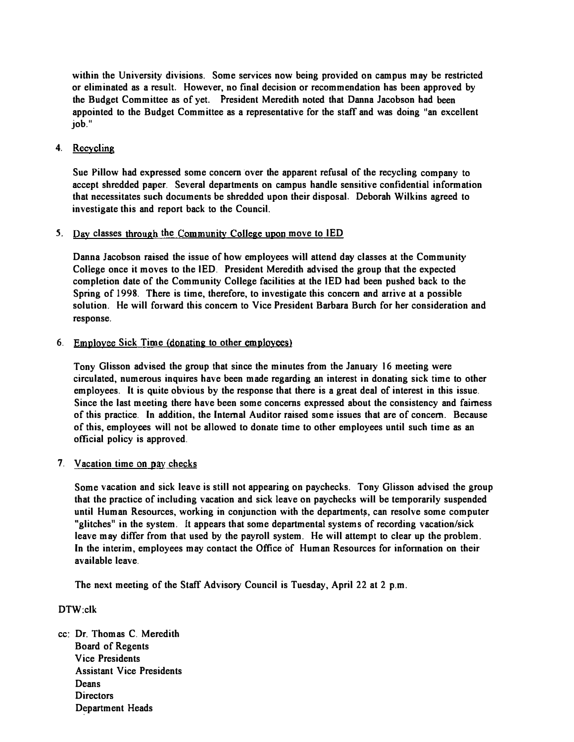within the University divisions. Some services now being provided on campus may be restricted or eliminated as a result. However, no final decision or recommendation has been approved by the Budget Committee as of yet. President Meredith noted that Danna Jacobson had been appointed to the Budget Committee as a representative for the staff and was doing "an excellent job."

### 4. Recycling

Sue Pillow had expressed some concern over the apparent refusal of the recycling company to accept shredded paper. Several departments on campus handle sensitive confidential information that necessitates such documents be shredded upon their disposal. Deborah Wilkins agreed to investigate this and report back to the Council.

### 5. Day classes through the Community College upon move to lED

Danna Jacobson raised the issue of how employees wi1l attend day classes at the Community College once it moves to the lED. President Meredith advised the group that the expected completion date of the Community College facilities at the lED had been pushed back to the Spring of 1998. There is time, therefore, to investigate this concern and arrive at a possible solution. He will forward this concern to Vice President Barbara Burch for her consideration and response.

### 6. Employee Sick Time (donating to other employees)

Tony Glisson advised the group that since the minutes from the January 16 meeting were circulated, numerous inquires have been made regarding an interest in donating sick time to other employees. It is quite obvious by the response that there is a great deaJ of interest in this issue. Since the last meeting there have been some concerns expressed about the consistency and fairness of this practice. In addition, the Internal Auditor raised some issues that are of concern. Because of this, employees will not be aJlowed to donate time to other employees until such time as an official policy is approved.

### 7. Vacation time on pay checks

Some vacation and sick leave is still not appearing on paychecks. Tony Glisson advised the group that the practice of including vacation and sick leave on paychecks will be temporarily suspended until Human Resources, working in conjunction with the departments, can resolve some computer "glitches" in the system. It appears that some departmental systems of recording vacation/sick leave may differ from that used by the payroll system. He will attempt to clear up the problem. In the interim, employees may contact the Office of Human Resources for infonnation on their available leave.

The next meeting of the Staff Advisory Council is Tuesday, April 22 at 2 p.m.

DTW;clk

cc: Dr. Thomas C. Meredith Board of Regents Vice Presidents Assistant Vice Presidents Deans **Directors** Department Heads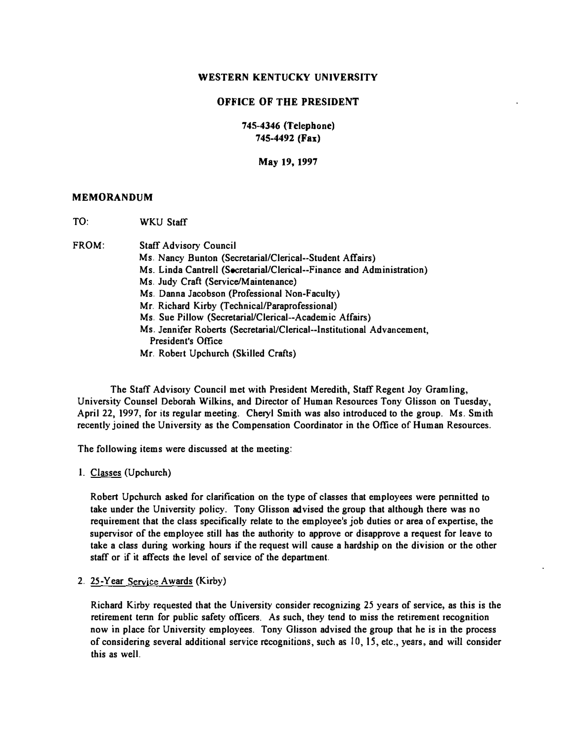#### OFFICE OF THE PRESIDENT

745-4346 (Telephone) 745-4492 (Fax)

May 19, 1997

#### MEMORANDUM

TO: WKU Staff

FROM: Staff Advisory Council

Ms. Nancy Bunton (Secretarial/Clerical--Student Affairs) Ms. Linda Cantrell (SecretariaI/Clerical--Finance and Administration) Ms. Judy Craft (Service/Maintenance) Ms. Danna Jacobson (Professional Non-Faculty) Mr. Richard Kirby (Technical/Paraprofessional) Ms. Sue Pillow (Secretarial/Clerical--Academic Affairs) Ms. Jennifer Roberts (SecretariaUClerical--Institutional Advancement, President's Office Mr. Robert Upchurch (Skilled Crafts)

The Staff Advisory Council met with President Meredith, Staff Regent Joy Gramling, University Counsel Deborah Wilkins, and Director of Human Resources Tony Glisson on Tuesday, April 22, 1997, for its regular meeting. Cheryl Smith was also introduced to the group. Ms. Smith recently joined the University as the Compensation Coordinator in the Office of Human Resources.

The following items were discussed at the meeting:

I. Classes (Upchurch)

Robert Upchurch asked for clarification on the type of classes that employees were pennirted to take under the University policy. Tony Glisson advised the group that although there was no requirement that the class specifically relate to the employee's job duties or area of expertise, the supervisor of the employee still has the authority to approve or disapprove a request for leave to take a class during working hours if the request will cause a hardship on the division or the other staff or if it affects the level of service of the department.

2. 25-Year Service Awards (Kirby)

Richard Kirby requested that the University consider recognizing 25 years of service, as this is the retirement tenn for public safety officers. As such, they tend to miss the retirement recognition now in place for University employees. Tony Glisson advised the group that he is in the process of considering several additional service recognitions, such as 10, 15, etc., years, and will consider this as well.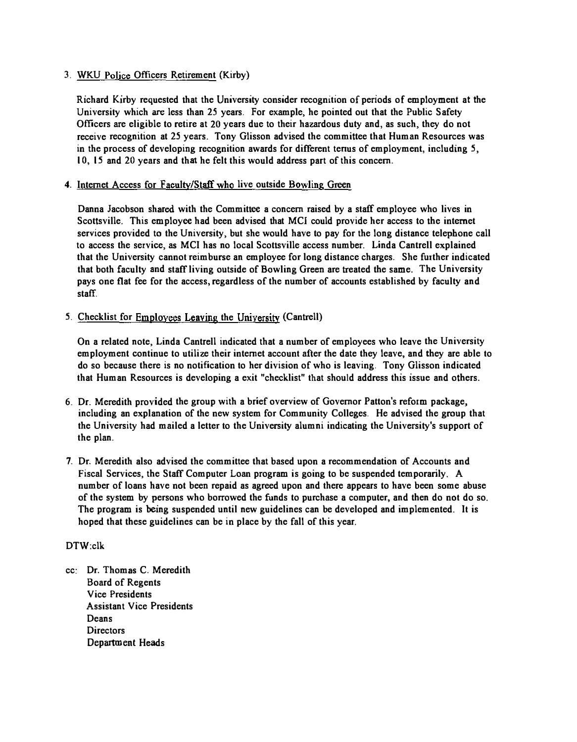## 3. WKU Police Officers Retirement (Kirby)

Richard Kirby requested that the University consider recognition of periods of employment at the University which are less than 25 years. For example, he pointed out that the Public Safety Officers are eligible to retire at 20 years due to their hazardous duty and, as such, they do not receive recognition at 25 years. Tony Glisson advised the committee that Human Resources was in the process of developing recognition awards for different tenus of employment, including 5, 10,15 and 20 years and that he felt this would address part of this concern.

### 4. Internet Access for Faculty/Staff who live outside Bowling Green

Danna Jacobson shared with the Committee a concern raised by a staff employee who lives in Scottsville. This employee had been advised that MCI could provide her access to the internet services provided to the University, but she would have to pay for the long distance telephone call to access the service, as MCI has no local Scottsville access number. Linda Cantrell explained that the University cannot reimburse an employee for lang distance charges. She further indicated that both faculty and staff living outside of Bawling Green are treated the same. The University pays one flat fee for the access, regardless of the number of accounts established by faculty and staff.

## 5. Checklist for Employees Leaving the University (Cantrell)

On a related note, Linda Cantrell indicated that a number of employees who leave the University employment continue to utilize their internet account after the date they leave, and they are able to do so because there is no notification to her division of who is leaving. Tony Glisson indicated that Human Resources is developing a exit "checklist" that should address this issue and others.

- 6. Dr. Meredith provided the group with a brief overview of Governor Patton's reform package, including an explanation of the new system for Community Colleges. He advised the group that the University had mailed a letter to the University alumni indicating the University's support of the plan.
- 7. Dr. Meredith also advised the committee that based upon a recommendation of Accounts and Fiscal Services, the Staff Computer Loan program is going to be suspended temporarily. A number of loans have not been repaid as agreed upon and there appears to have been some abuse of the system by persons who borrowed the funds to purchase a computer, and then do nat do so. The program is being suspended until new guidelines can be developed and implemented. It is hoped that these guidelines can be in place by the fall of this year.

### DTW:clk

cc: Dr. Thomas C. Meredith Board of Regents Vice Presidents Assistant Vice Presidents Deans **Directors** Department Heads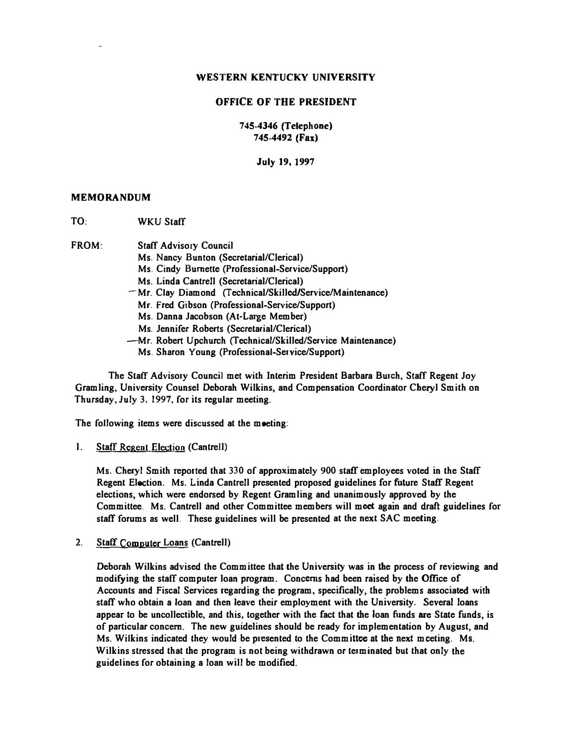#### OFFICE OF THE PRESIDENT

745-4346 (Telephone) 745-4492 (Fax)

July 19, 1997

#### MEMORANDUM

TO, WKU Staff

FROM: Staff Advisory Council

- Ms, Nancy Bunton (Secretarial/Clerical)
- Ms. Cindy Burnette (Professional-Service/Support)
- Ms. Linda Cantrell (Secretarial/Clerical)
- -Mr. Clay Diamond (TechnicaIlSkilledlServicelMaintenance)
	- Mr. Fred Gibson (Professional-Service/Support)
	- Ms, Danna Jacobson (At-Large Member)
	- Ms. Jennifer Roberts (Secretarial/Clerical)
- -Mr. Robert Upchurch (Technical/Skilled/Service Maintenance)
- Ms. Sharon Young (Professional-Service/Support)

The Staff Advisory Council met with Interim President Barbara Burch, Staff Regent Joy Gramling, University Counsel Deborah Wilkins, and Compensation Coordinator Cheryl Smith on Thursday, July 3, 1997, for its regular meeting.

The following items were discussed at the meeting:

1. Staff Regent Election (Cantrell)

Ms. Cheryl Smith reported that 330 of approximately 900 staff employees voted in the Staff Regent Election. Ms. Linda Cantrell presented proposed guidelines for future Staff Regent elections, which were endorsed by Regent Gramling and unanimously approved by the Committee. Ms. Cantrell and other Committee members will meet again and draft guidelines for staff forums as well. These guidelines will be presented at the next SAC meeting.

2. Staff Computer Loans (Cantrell)

Deborah Wilkins advised the Committee that the University was in the process of reviewing and modifying the staff computer loan program. Concerns had been raised by the Office of Accounts and Fiscal Services regarding the program, specifically, the problems associated with staff who obtain a loan and then leave their employment with the University. Several loans appear to be uncollectible, and this, together with the fact that the loan funds are State funds, is of particular concern. The new guidelines should be ready for implementation by August, and Ms. Wilkins indicated they would be presented to the Committee at the next meeting. Ms. Wilkins stressed that the program is not being withdrawn or terminated but that only the guidelines for obtaining a loan will be modified.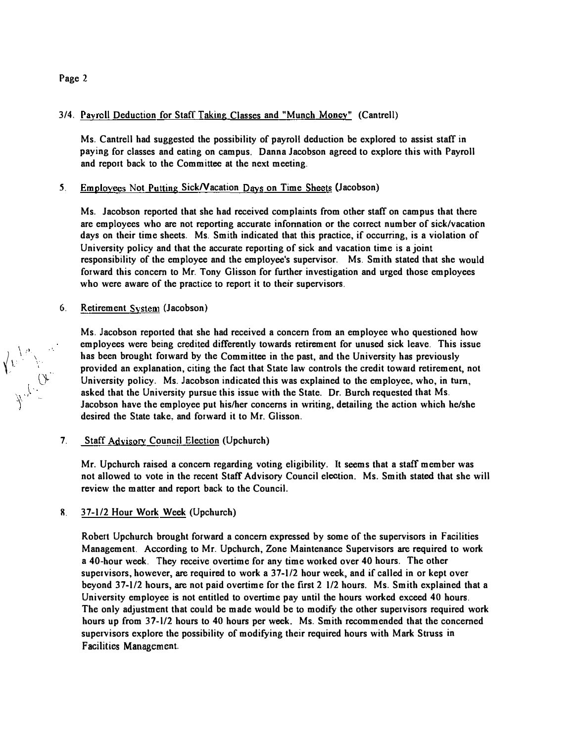### Page 2

 $\left\langle \hat{r} \right\rangle_{\rm d}$ 

 $\int\limits_{\mathcal{M}}\int\limits_{\mathcal{M}}\frac{1}{\mathcal{Q}_{\mathbf{r}}}$ 

### 3/4. Payroll Deduction for Staff Taking Classes and "Munch Money" (Cantrell)

Ms. Cantrell had suggested the possibility of payroll deduction be explored to assist staff in paying for classes and eating on campus. Danna Jacobson agreed to explore this with Payroll and report back to the Committee at the next meeting.

### 5, Employees Not Putting SickNacation Days on Time Sheets (Jacobson)

Ms. Jacobson reported that she had received complaints from other staff on campus that there are employees who are not reporting accurate infonnation or the correct number of sick/vacation days on their time sheets. Ms. Smith indicated that this practice, if occurring, is a violation of University policy and that the accurate reporting of sick and vacation time is a joint responsibility of the employee and the employee's supervisor. Ms. Smith stated that she would forward this concern to Mr. Tony Glisson for further investigation and urged those employees who were aware of the practice to report it to their supervisors.

### 6. Retirement System (Jacobson)

Ms. Jacobson reported that she had received a concern from an employee who questioned how employees were being credited differently towards retirement for unused sick leave. This issue has been brought forward by the Committee in the past, and the University has previously provided an explanation, citing the fact that State law controls the credit toward retirement, not University policy. Ms. Jacobson indicated this was explained to the employee, who, in tum, asked that the University pursue this issue with the State. Dr. Burch requested that Ms. Jacobson have the employee put hislher concerns in writing, detailing the action which he/she desired the State take, and forward it to Mr. Glisson.

### 7. Staff Adyisory Council Election (Upchurch)

Mr. Upchurch raised a concern regarding voting eligibility. It seems that a staff member was not allowed to vote in the recent Staff Advisory Council election. Ms. Smith stated that she will review the matter and report back to the Council.

# R. 37-1/2 Hour Work Week (Upchurch)

Robert Upchurch brought forward a concern expressed by some of the supervisors in Facilities Management. According to Mr. Upchurch, Zone Maintenance Supervisors are required to work a 40-hour week. They receive overtime for any time worked over 40 hours. The other supervisors, however, are required to work a 37-1/2 hour week, and if called in or kept over beyond 37-112 hours, are not paid overtime for the first 2 112 hours. Ms. Smith explained that a University employee is not entitled to overtime pay until the hours worked exceed 40 hours. The only adjustment that could be made would be to modify the other supervisors required work hours up from 37-1/2 hours to 40 hours per week. Ms. Smith recommended that the concerned supervisors explore the possibility of modifying their required hours with Mark Struss in Facilities Management.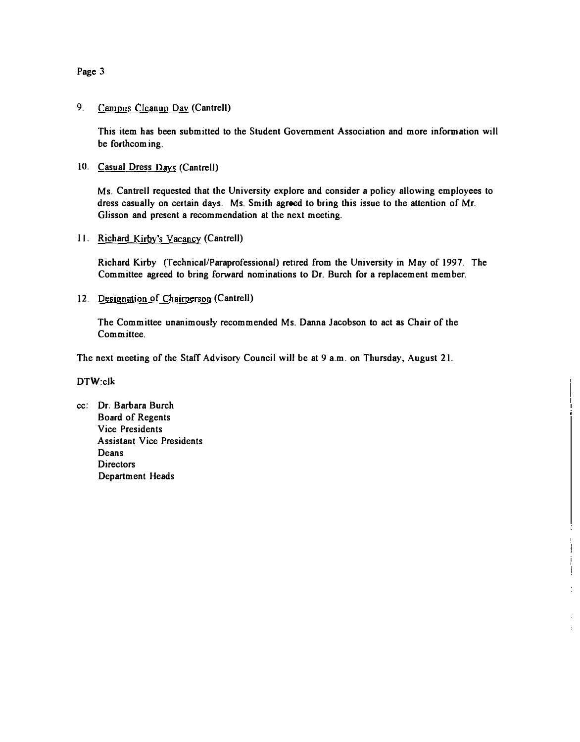Page 3

### 9. Campus Cleanup Day (Cantrell)

This item has been submitted to the Student Government Association and more information will be forthcom ing.

10. Casual Dress Days (Cantrell)

Ms. Cantrell requested that the University explore and consider a policy allowing employees to dress casually on certain days. Ms. Smith agreed to bring this issue to the attention of Mr. Glisson and present a recommendation at the next meeting.

II. Richard Kirby's Vacancy (Cantrell)

Richard Kirby (Technical/Paraprofessional) retired from the University in May of 1997. The Committee agreed to bring forward nominations to Dr. Burch for a replacement member.

12. Designation of Chairperson (Cantrell)

The Committee unanimously recommended Ms. Danna Jacobson to act as Chair of the Committee.

The next meeting of the Staff Advisory Council will be at 9 a.m. on Thursday, August 21.

### DTW:clk

cc; Dr. Barbara Burch Board of Regents Vice Presidents Assistant Vice Presidents Deans **Directors** Department Heads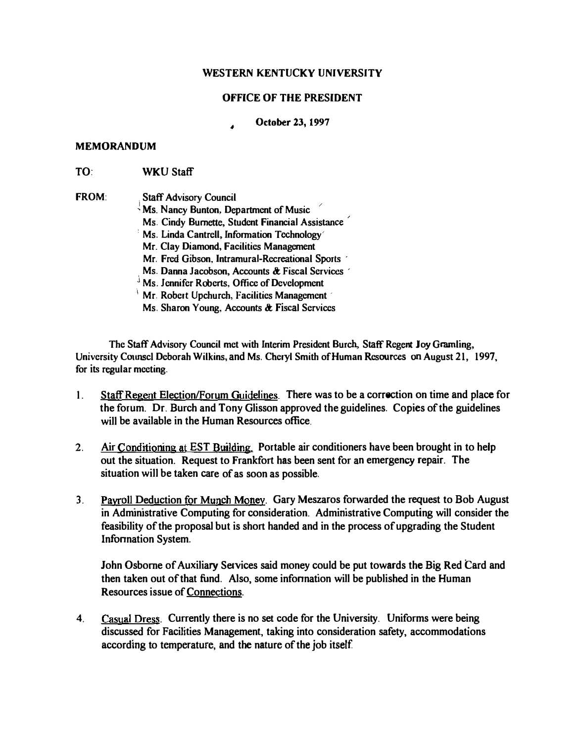# OFFICE OF THE PRESIDENT

## • October 23, 1997

#### MEMORANDUM

TO: WKU Staff

FROM: Staff Advisory Council  $\frac{1}{2}$  Ms. Nancy Bunton, Department of Music Ms. Cindy Burnette, Student Financial Assistance : Ms. Linda Cantrell. Information Technology' Mr. Clay Diamond. Facilities Management Mr. Fred Gibson, IntramuraJ-Recreational Sports ' Ms. Danna Jacobson, Accounts & Fiscal Services J Ms. Lunnia Successity, Theorem The Development  $\frac{1}{2}$  Mr. Robert Upchurch, Facilities Management Ms. Sharon Young, Accounts & Fiscal Services

The Staff Advisory Council met with Interim President Burch, Staff Regent Joy Gramling, University Counsel Deborah Wilkins, and Ms. Cheryl Smith of Human Resources on August 21, 1997, for its regular meeting.

- 1. Staff Regent Election/Forum Guidelines. There was to be a correction on time and place for the forum. Dr. Burch and Tony Glisson approved the guidelines. Copies of the guidelines will be available in the Human Resources office.
- 2. Air Conditioning at EST Building. Portable air conditioners have been brought in to help out the situation. Request to Frankfort has been sent for an emergency repair. The situation will be taken care of as soon as possible.
- 3. Payroll Deduction for Munch Money. Gary Meszaros forwarded the request to Bob August in Administrative Computing for consideration. Administrative Computing will consider the feasibility of the proposal but is short handed and in the process of upgrading the Student **Information System.**

John Osborne of Auxiliary Services said money could be put towards the Big Red Card and then taken out of that fund. Also, some infonnation will be published in the Human Resources issue of Connections.

4. Casual Dress. Currently there is no set code for the University. Uniforms were being discussed for Facilities Management, taking into consideration safety, accommodations according to temperature, and the nature of the job itself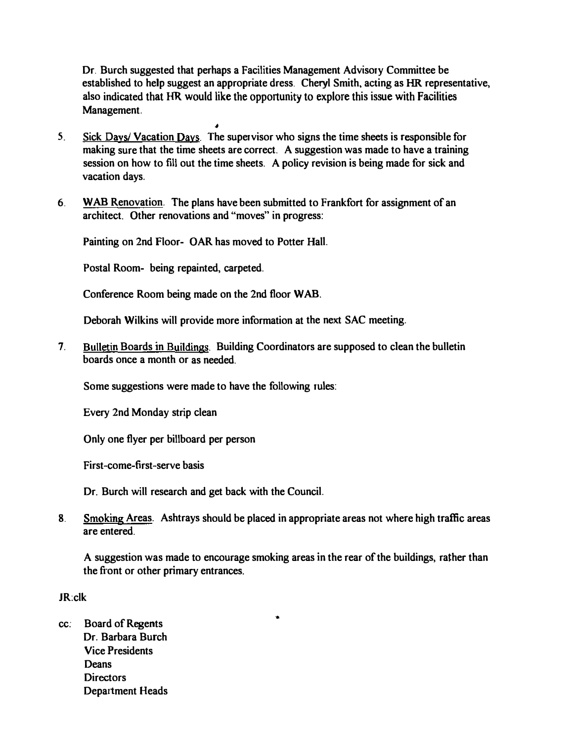Dr. Burch suggested that perhaps a Facilities Management Advisory Committee be established to help suggest an appropriate dress. Cheryl Smith, acting as HR. representative, also indicated that HR would like the opportunity to explore this issue with Facilities Management.

- 5. Sick Days! Vacation Days. The supervisor who signs the time sheets is responsible for making sure that the time sheets are correct. A suggestion was made to have a training session on how to fill out the time sheets. A policy revision is being made for sick and vacation days.
- 6. W AB Renovation. The plans have been submitted to Frankfort for assignment of an architect. Other renovations and "moves" in progress:

Painting on 2nd Floor- OAR has moved to Potter HalL

•

Postal Room- being repainted, carpeted.

Conference Room being made on the 2nd floor WAB.

Deborah Wilkins will provide more information at the next SAC meeting.

7. Bulletin Boards in Buildings. Building Coordinators are supposed to clean the bulletin boards once a month or as needed.

Some suggestions were made to have the following rules:

Every 2nd Monday strip clean

Only one flyer per billboard per person

First-come-first-serve basis

Dr. Burch will research and get back with the Council.

8. Smoking Areas. Ashtrays should be placed in appropriate areas not where high traffic areas are entered.

•

A suggestion was made to encourage smoking areas in the rear of the buildings, rather than the front or other primary entrances.

JR:clk

cc: Board of Regents Dr. Barbara Burch Vice Presidents **Deans Directors** Department Heads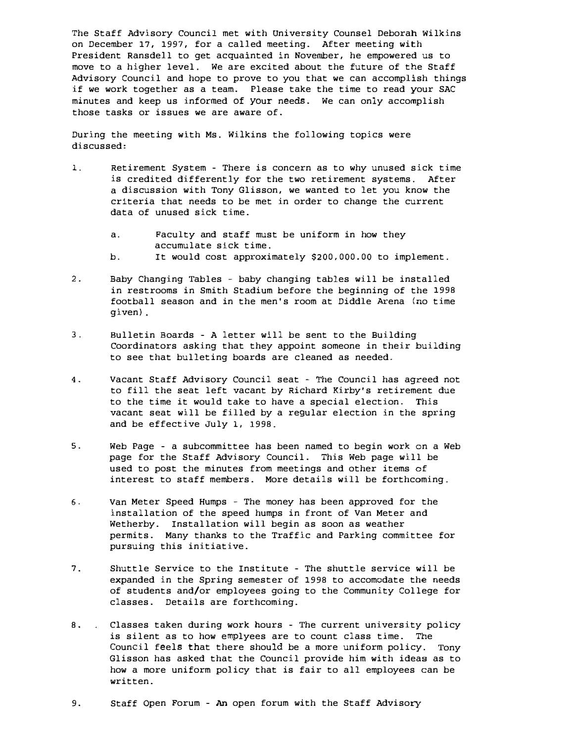The Staff Advisory Council met with University Counsel Deborah wilkins on December 17, 1997, for a called meeting. After meeting with President Ransdell to get acquainted in November, he empowered us to move to a higher level. We are excited about the future of the Staff Advisory Council and hope to prove to you that we can accomplish things if we work together as a team. Please take the time to read your SAC minutes and keep us informed of your needs. We can only accomplish those tasks or issues we are aware of.

During the meeting with Ms. Wilkins the following topics were discussed:

- 1. Retirement System There is concern as to why unused sick time is credited differently for the two retirement systems. After a discussion with Tony Glisson, we wanted to let you know the criteria that needs to be met in order to change the current data of unused sick time.
	- a. Faculty and staff must be uniform in how they accumulate sick time. b. It would cost approximately \$200,000.00 to implement.
- 2. Baby Changing Tables baby changing tables will be installed in restrooms in Smith Stadium before the beginning of the 1998 football season and in the men's room at Diddle Arena (no time given) .
- 3. Bulletin Boards A letter will be sent to the Building Coordinators asking that they appoint someone in their building to see that bulleting boards are cleaned as needed.
- 4. Vacant Staff Advisory Council seat The Council has agreed not to fill the seat left vacant by Richard Kirby's retirement due to the time it would take to have a special election. This vacant seat will be filled by a regular election in the spring and be effective July 1, 1998.
- 5. Web Page a subcommittee has been named to begin work on a Web page for the Staff Advisory Council. This Web page will be used to post the minutes from meetings and other items of interest to staff members. More details will be forthcoming.
- 6. Van Meter Speed Humps The money has been approved for the installation of the speed humps in front of Van Meter and Wetherby. Installation will begin as soon as weather permits. Many thanks to the Traffic and Parking committee for pursuing this initiative.
- 7. Shuttle Service to the Institute The shuttle service will be expanded in the Spring semester of 1998 to accomodate the needs of students and/or employees going to the Community College for classes. Details are forthcoming.
- 8. . Classes taken during work hours The current university policy is silent as to how emplyees are to count class time. The Council feels that there should be a more uniform policy. Tony Glisson has asked that the Council provide him with ideas as to how a more uniform policy that is fair to all employees can be written.
- 9. Staff Open Forum An open forum with the Staff Advisory